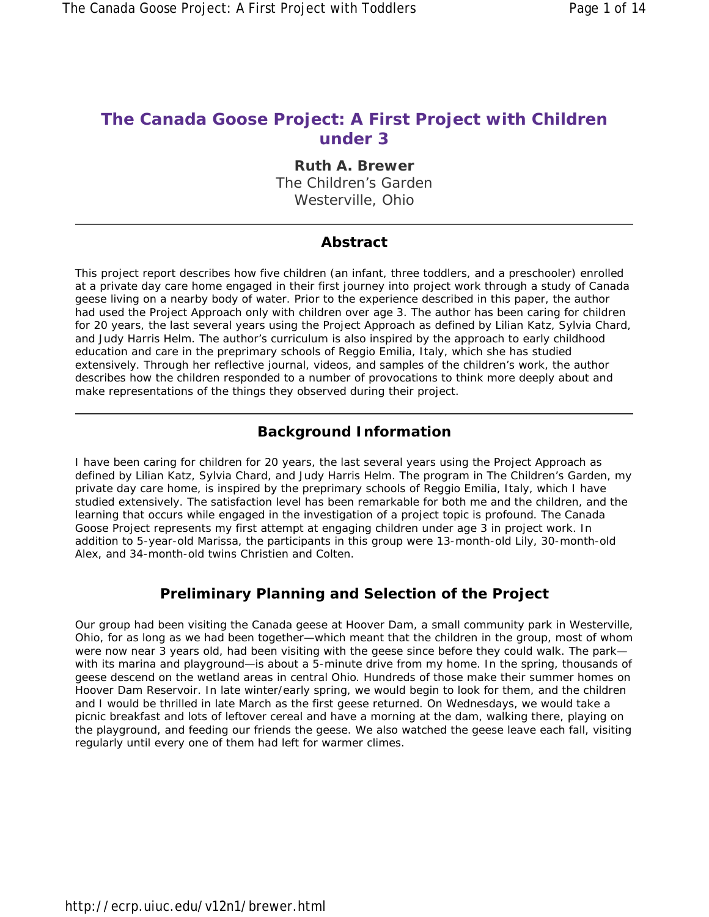# **The Canada Goose Project: A First Project with Children under 3**

### **Ruth A. Brewer**

The Children's Garden Westerville, Ohio

## **Abstract**

This project report describes how five children (an infant, three toddlers, and a preschooler) enrolled at a private day care home engaged in their first journey into project work through a study of Canada geese living on a nearby body of water. Prior to the experience described in this paper, the author had used the Project Approach only with children over age 3. The author has been caring for children for 20 years, the last several years using the Project Approach as defined by Lilian Katz, Sylvia Chard, and Judy Harris Helm. The author's curriculum is also inspired by the approach to early childhood education and care in the preprimary schools of Reggio Emilia, Italy, which she has studied extensively. Through her reflective journal, videos, and samples of the children's work, the author describes how the children responded to a number of provocations to think more deeply about and make representations of the things they observed during their project.

# **Background Information**

I have been caring for children for 20 years, the last several years using the Project Approach as defined by Lilian Katz, Sylvia Chard, and Judy Harris Helm. The program in The Children's Garden, my private day care home, is inspired by the preprimary schools of Reggio Emilia, Italy, which I have studied extensively. The satisfaction level has been remarkable for both me and the children, and the learning that occurs while engaged in the investigation of a project topic is profound. The Canada Goose Project represents my first attempt at engaging children under age 3 in project work. In addition to 5-year-old Marissa, the participants in this group were 13-month-old Lily, 30-month-old Alex, and 34-month-old twins Christien and Colten.

# **Preliminary Planning and Selection of the Project**

Our group had been visiting the Canada geese at Hoover Dam, a small community park in Westerville, Ohio, for as long as we had been together—which meant that the children in the group, most of whom were now near 3 years old, had been visiting with the geese since before they could walk. The park with its marina and playground—is about a 5-minute drive from my home. In the spring, thousands of geese descend on the wetland areas in central Ohio. Hundreds of those make their summer homes on Hoover Dam Reservoir. In late winter/early spring, we would begin to look for them, and the children and I would be thrilled in late March as the first geese returned. On Wednesdays, we would take a picnic breakfast and lots of leftover cereal and have a morning at the dam, walking there, playing on the playground, and feeding our friends the geese. We also watched the geese leave each fall, visiting regularly until every one of them had left for warmer climes.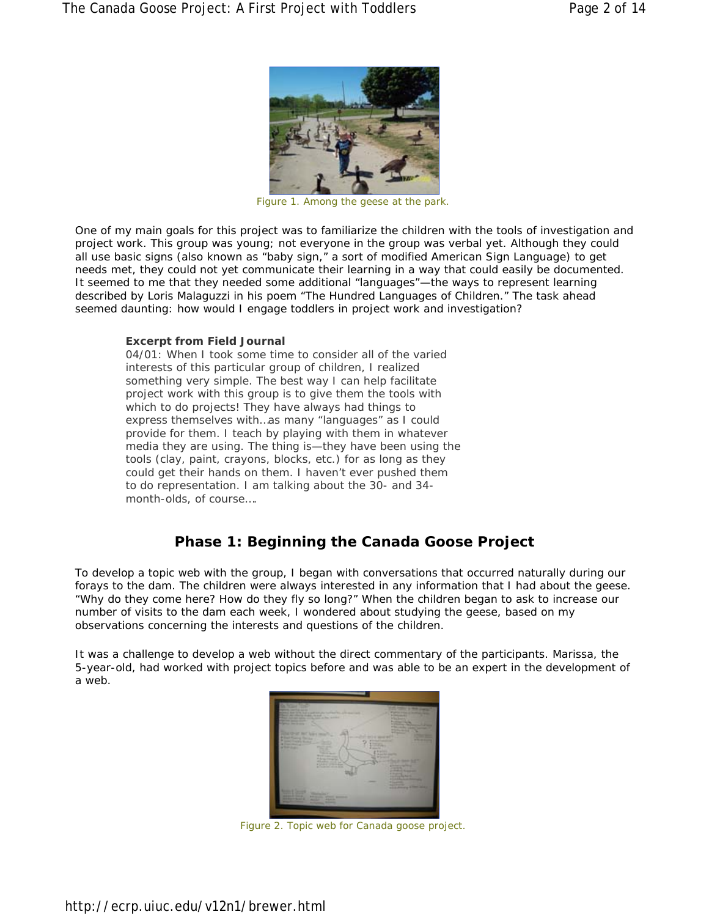

*Figure 1. Among the geese at the park.*

One of my main goals for this project was to familiarize the children with the tools of investigation and project work. This group was young; not everyone in the group was verbal yet. Although they could all use basic signs (also known as "baby sign," a sort of modified American Sign Language) to get needs met, they could not yet communicate their learning in a way that could easily be documented. It seemed to me that they needed some additional "languages"—the ways to represent learning described by Loris Malaguzzi in his poem "The Hundred Languages of Children." The task ahead seemed daunting: how would I engage toddlers in project work and investigation?

#### **Excerpt from Field Journal**

04/01: When I took some time to consider all of the varied interests of this particular group of children, I realized something very simple. The best way I can help facilitate project work with this group is to give them the tools with which to do projects! They have always had things to express themselves with…as many "languages" as I could provide for them. I teach by playing with them in whatever media they are using. The thing is—they have been using the tools (clay, paint, crayons, blocks, etc.) for as long as they could get their hands on them. I haven't ever pushed them to do representation. I am talking about the 30- and 34 month-olds, of course….

## **Phase 1: Beginning the Canada Goose Project**

To develop a topic web with the group, I began with conversations that occurred naturally during our forays to the dam. The children were always interested in any information that I had about the geese. "Why do they come here? How do they fly so long?" When the children began to ask to increase our number of visits to the dam each week, I wondered about studying the geese, based on my observations concerning the interests and questions of the children.

It was a challenge to develop a web without the direct commentary of the participants. Marissa, the 5-year-old, had worked with project topics before and was able to be an expert in the development of a web.



*Figure 2. Topic web for Canada goose project.*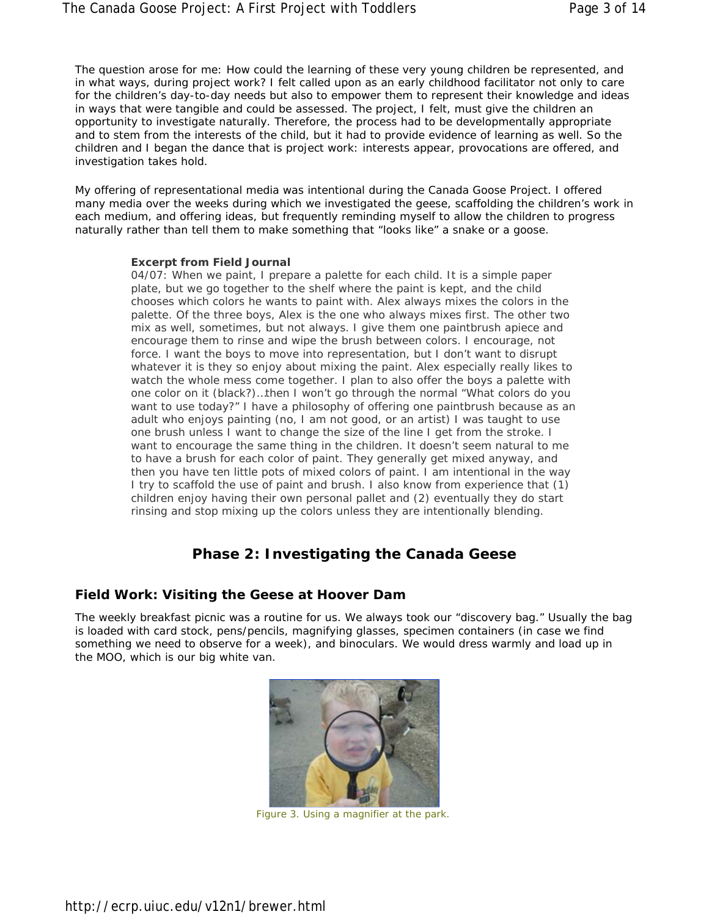The question arose for me: How could the learning of these very young children be represented, and in what ways, during project work? I felt called upon as an early childhood facilitator not only to care for the children's day-to-day needs but also to empower them to represent their knowledge and ideas in ways that were tangible and could be assessed. The project, I felt, must give the children an opportunity to investigate naturally. Therefore, the process had to be developmentally appropriate and to stem from the interests of the child, but it had to provide evidence of learning as well. So the children and I began the dance that is project work: interests appear, provocations are offered, and investigation takes hold.

My offering of representational media was intentional during the Canada Goose Project. I offered many media over the weeks during which we investigated the geese, scaffolding the children's work in each medium, and offering ideas, but frequently reminding myself to allow the children to progress naturally rather than tell them to make something that "looks like" a snake or a goose.

#### **Excerpt from Field Journal**

04/07: When we paint, I prepare a palette for each child. It is a simple paper plate, but we go together to the shelf where the paint is kept, and the child chooses which colors he wants to paint with. Alex always mixes the colors in the palette. Of the three boys, Alex is the one who always mixes first. The other two mix as well, sometimes, but not always. I give them one paintbrush apiece and encourage them to rinse and wipe the brush between colors. I encourage, not force. I want the boys to move into representation, but I don't want to disrupt whatever it is they so enjoy about mixing the paint. Alex especially really likes to watch the whole mess come together. I plan to also offer the boys a palette with one color on it (black?)…then I won't go through the normal "What colors do you want to use today?" I have a philosophy of offering one paintbrush because as an adult who enjoys painting (no, I am not good, or an artist) I was taught to use one brush unless I want to change the size of the line I get from the stroke. I want to encourage the same thing in the children. It doesn't seem natural to me to have a brush for each color of paint. They generally get mixed anyway, and then you have ten little pots of mixed colors of paint. I am intentional in the way I try to scaffold the use of paint and brush. I also know from experience that (1) children enjoy having their own personal pallet and (2) eventually they do start rinsing and stop mixing up the colors unless they are intentionally blending.

## **Phase 2: Investigating the Canada Geese**

## **Field Work: Visiting the Geese at Hoover Dam**

The weekly breakfast picnic was a routine for us. We always took our "discovery bag." Usually the bag is loaded with card stock, pens/pencils, magnifying glasses, specimen containers (in case we find something we need to observe for a week), and binoculars. We would dress warmly and load up in the MOO, which is our big white van.



*Figure 3. Using a magnifier at the park.*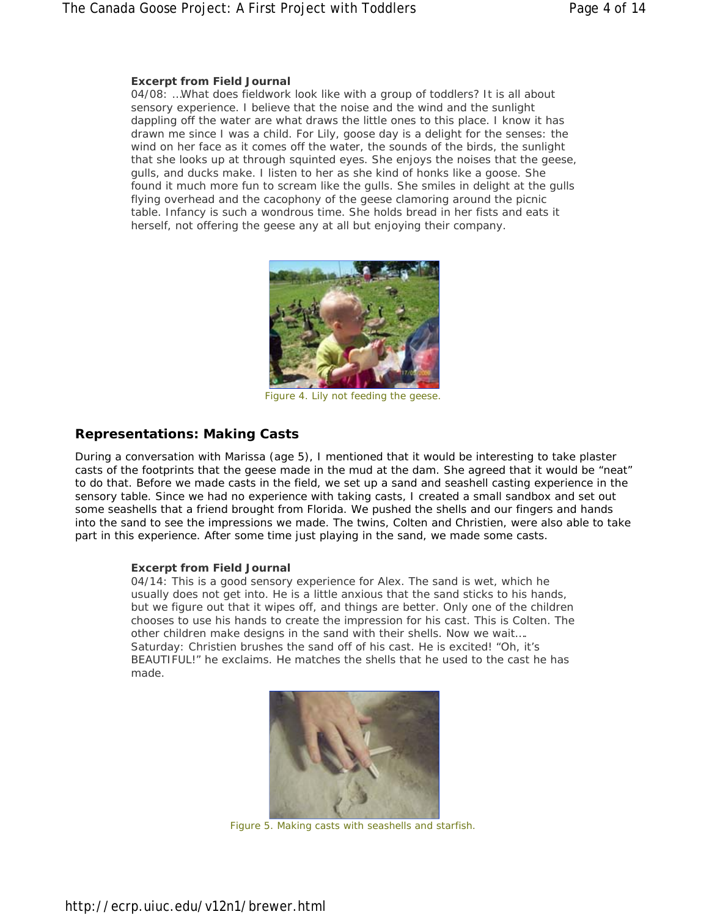#### **Excerpt from Field Journal**

04/08: …What does fieldwork look like with a group of toddlers? It is all about sensory experience. I believe that the noise and the wind and the sunlight dappling off the water are what draws the little ones to this place. I know it has drawn me since I was a child. For Lily, goose day is a delight for the senses: the wind on her face as it comes off the water, the sounds of the birds, the sunlight that she looks up at through squinted eyes. She enjoys the noises that the geese, gulls, and ducks make. I listen to her as she kind of honks like a goose. She found it much more fun to scream like the gulls. She smiles in delight at the gulls flying overhead and the cacophony of the geese clamoring around the picnic table. Infancy is such a wondrous time. She holds bread in her fists and eats it herself, not offering the geese any at all but enjoying their company.



*Figure 4. Lily not feeding the geese.*

### **Representations: Making Casts**

During a conversation with Marissa (age 5), I mentioned that it would be interesting to take plaster casts of the footprints that the geese made in the mud at the dam. She agreed that it would be "neat" to do that. Before we made casts in the field, we set up a sand and seashell casting experience in the sensory table. Since we had no experience with taking casts, I created a small sandbox and set out some seashells that a friend brought from Florida. We pushed the shells and our fingers and hands into the sand to see the impressions we made. The twins, Colten and Christien, were also able to take part in this experience. After some time just playing in the sand, we made some casts.

#### **Excerpt from Field Journal**

04/14: This is a good sensory experience for Alex. The sand is wet, which he usually does not get into. He is a little anxious that the sand sticks to his hands, but we figure out that it wipes off, and things are better. Only one of the children chooses to use his hands to create the impression for his cast. This is Colten. The other children make designs in the sand with their shells. Now we wait…. Saturday: Christien brushes the sand off of his cast. He is excited! "Oh, it's BEAUTIFUL!" he exclaims. He matches the shells that he used to the cast he has made.



*Figure 5. Making casts with seashells and starfish.*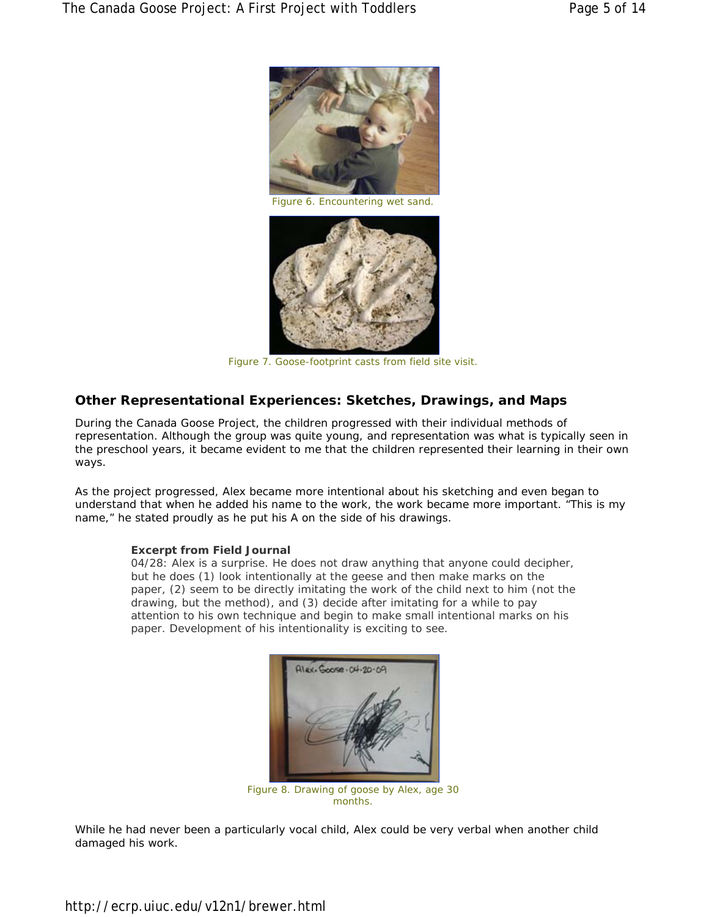

*Figure 6. Encountering wet sand.*



*Figure 7. Goose-footprint casts from field site visit.*

## **Other Representational Experiences: Sketches, Drawings, and Maps**

During the Canada Goose Project, the children progressed with their individual methods of representation. Although the group was quite young, and representation was what is typically seen in the preschool years, it became evident to me that the children represented their learning in their own ways.

As the project progressed, Alex became more intentional about his sketching and even began to understand that when he added his name to the work, the work became more important. "This is my name," he stated proudly as he put his A on the side of his drawings.

### **Excerpt from Field Journal**

04/28: Alex is a surprise. He does not draw anything that anyone could decipher, but he does (1) look intentionally at the geese and then make marks on the paper, (2) seem to be directly imitating the work of the child next to him (not the drawing, but the method), and (3) decide after imitating for a while to pay attention to his own technique and begin to make small intentional marks on his paper. Development of his intentionality is exciting to see.



*Figure 8. Drawing of goose by Alex, age 30 months.*

While he had never been a particularly vocal child, Alex could be very verbal when another child damaged his work.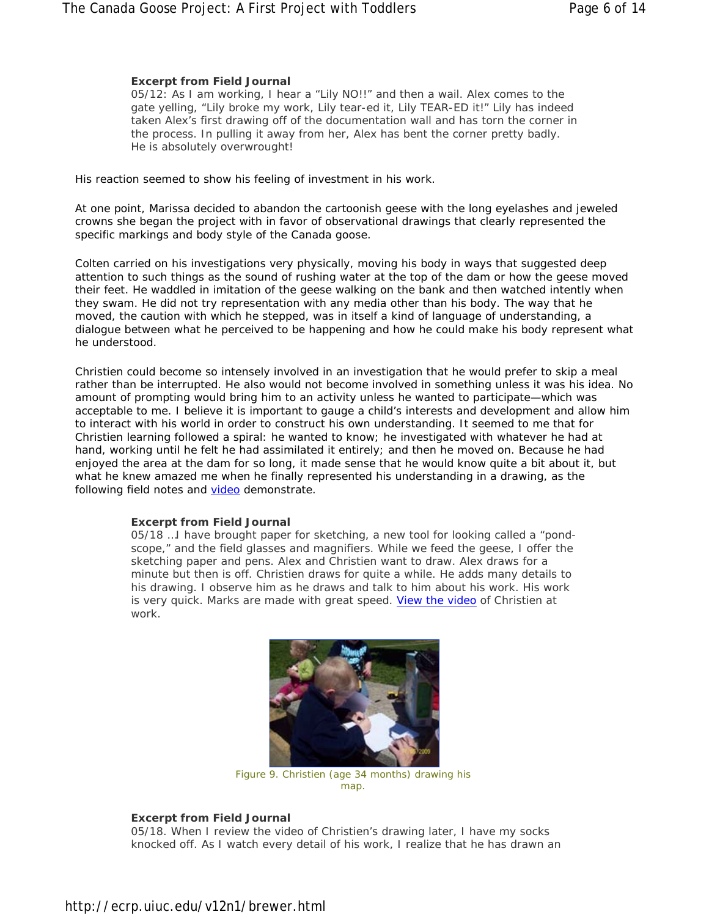#### **Excerpt from Field Journal**

05/12: As I am working, I hear a "Lily NO!!" and then a wail. Alex comes to the gate yelling, "Lily broke my work, Lily tear-ed it, Lily TEAR-ED it!" Lily has indeed taken Alex's first drawing off of the documentation wall and has torn the corner in the process. In pulling it away from her, Alex has bent the corner pretty badly. He is absolutely overwrought!

His reaction seemed to show his feeling of investment in his work.

At one point, Marissa decided to abandon the cartoonish geese with the long eyelashes and jeweled crowns she began the project with in favor of observational drawings that clearly represented the specific markings and body style of the Canada goose.

Colten carried on his investigations very physically, moving his body in ways that suggested deep attention to such things as the sound of rushing water at the top of the dam or how the geese moved their feet. He waddled in imitation of the geese walking on the bank and then watched intently when they swam. He did not try representation with any media other than his body. The way that he moved, the caution with which he stepped, was in itself a kind of language of understanding, a dialogue between what he perceived to be happening and how he could make his body represent what he understood.

Christien could become so intensely involved in an investigation that he would prefer to skip a meal rather than be interrupted. He also would not become involved in something unless it was his idea. No amount of prompting would bring him to an activity unless he wanted to participate—which was acceptable to me. I believe it is important to gauge a child's interests and development and allow him to interact with his world in order to construct his own understanding. It seemed to me that for Christien learning followed a spiral: he wanted to know; he investigated with whatever he had at hand, working until he felt he had assimilated it entirely; and then he moved on. Because he had enjoyed the area at the dam for so long, it made sense that he would know quite a bit about it, but what he knew amazed me when he finally represented his understanding in a drawing, as the following field notes and video demonstrate.

#### **Excerpt from Field Journal**

05/18 …I have brought paper for sketching, a new tool for looking called a "pondscope," and the field glasses and magnifiers. While we feed the geese, I offer the sketching paper and pens. Alex and Christien want to draw. Alex draws for a minute but then is off. Christien draws for quite a while. He adds many details to his drawing. I observe him as he draws and talk to him about his work. His work is very quick. Marks are made with great speed. View the video of Christien at work.



*Figure 9. Christien (age 34 months) drawing his map.*

#### **Excerpt from Field Journal**

05/18. When I review the video of Christien's drawing later, I have my socks knocked off. As I watch every detail of his work, I realize that he has drawn an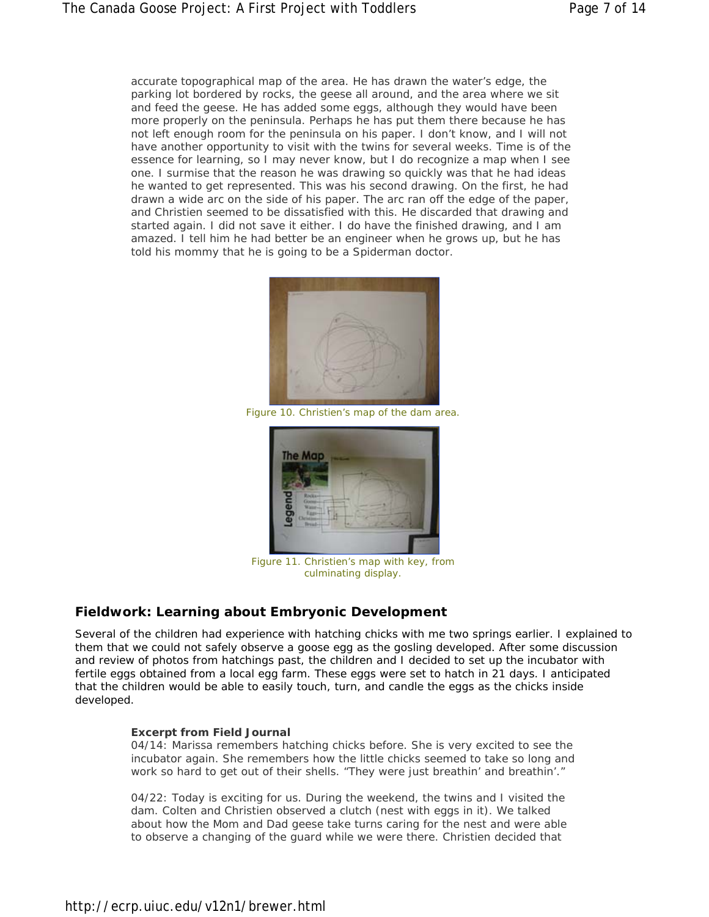accurate topographical map of the area. He has drawn the water's edge, the parking lot bordered by rocks, the geese all around, and the area where we sit and feed the geese. He has added some eggs, although they would have been more properly on the peninsula. Perhaps he has put them there because he has not left enough room for the peninsula on his paper. I don't know, and I will not have another opportunity to visit with the twins for several weeks. Time is of the essence for learning, so I may never know, but I do recognize a map when I see one. I surmise that the reason he was drawing so quickly was that he had ideas he wanted to get represented. This was his second drawing. On the first, he had drawn a wide arc on the side of his paper. The arc ran off the edge of the paper, and Christien seemed to be dissatisfied with this. He discarded that drawing and started again. I did not save it either. I do have the finished drawing, and I am amazed. I tell him he had better be an engineer when he grows up, but he has told his mommy that he is going to be a Spiderman doctor.



*Figure 10. Christien's map of the dam area.*



*Figure 11. Christien's map with key, from culminating display.*

## **Fieldwork: Learning about Embryonic Development**

Several of the children had experience with hatching chicks with me two springs earlier. I explained to them that we could not safely observe a goose egg as the gosling developed. After some discussion and review of photos from hatchings past, the children and I decided to set up the incubator with fertile eggs obtained from a local egg farm. These eggs were set to hatch in 21 days. I anticipated that the children would be able to easily touch, turn, and candle the eggs as the chicks inside developed.

### **Excerpt from Field Journal**

04/14: Marissa remembers hatching chicks before. She is very excited to see the incubator again. She remembers how the little chicks seemed to take so long and work so hard to get out of their shells. "They were just breathin' and breathin'."

04/22: Today is exciting for us. During the weekend, the twins and I visited the dam. Colten and Christien observed a clutch (nest with eggs in it). We talked about how the Mom and Dad geese take turns caring for the nest and were able to observe a changing of the guard while we were there. Christien decided that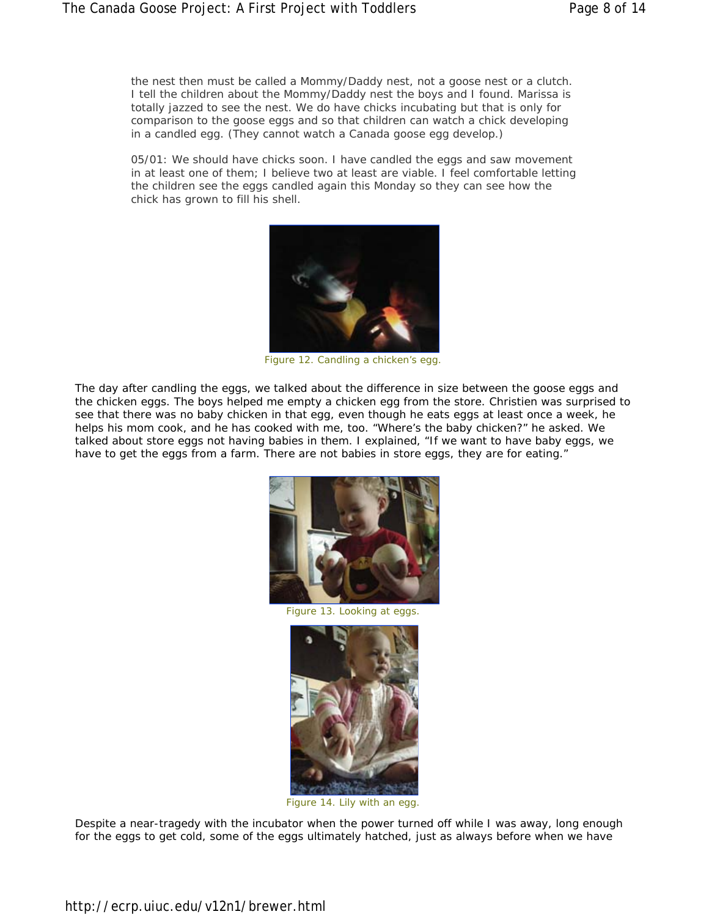the nest then must be called a Mommy/Daddy nest, not a goose nest or a clutch. I tell the children about the Mommy/Daddy nest the boys and I found. Marissa is totally jazzed to see the nest. We do have chicks incubating but that is only for comparison to the goose eggs and so that children can watch a chick developing in a candled egg. (They cannot watch a Canada goose egg develop.)

05/01: We should have chicks soon. I have candled the eggs and saw movement in at least one of them; I believe two at least are viable. I feel comfortable letting the children see the eggs candled again this Monday so they can see how the chick has grown to fill his shell.



*Figure 12. Candling a chicken's egg.*

The day after candling the eggs, we talked about the difference in size between the goose eggs and the chicken eggs. The boys helped me empty a chicken egg from the store. Christien was surprised to see that there was no baby chicken in that egg, even though he eats eggs at least once a week, he helps his mom cook, and he has cooked with me, too. "Where's the baby chicken?" he asked. We talked about store eggs not having babies in them. I explained, "If we want to have baby eggs, we have to get the eggs from a farm. There are not babies in store eggs, they are for eating."



*Figure 13. Looking at eggs.*



*Figure 14. Lily with an egg.*

Despite a near-tragedy with the incubator when the power turned off while I was away, long enough for the eggs to get cold, some of the eggs ultimately hatched, just as always before when we have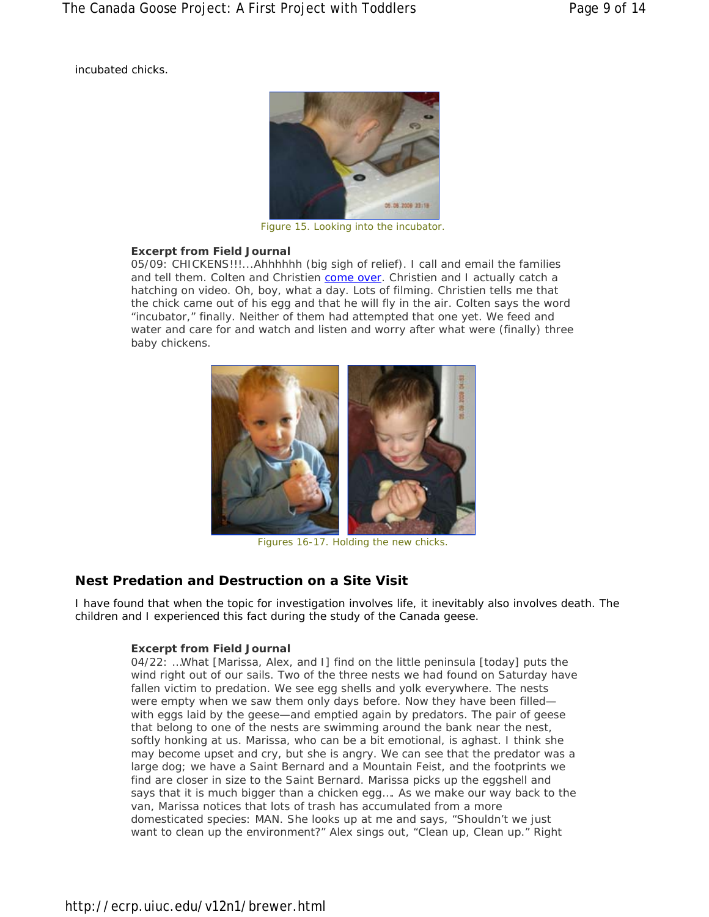incubated chicks.



*Figure 15. Looking into the incubator.*

### **Excerpt from Field Journal**

05/09: CHICKENS!!!...Ahhhhhh (big sigh of relief). I call and email the families and tell them. Colten and Christien come over. Christien and I actually catch a hatching on video. Oh, boy, what a day. Lots of filming. Christien tells me that the chick came out of his egg and that he will fly in the air. Colten says the word "incubator," finally. Neither of them had attempted that one yet. We feed and water and care for and watch and listen and worry after what were (finally) three baby chickens.



*Figures 16-17. Holding the new chicks.*

## **Nest Predation and Destruction on a Site Visit**

I have found that when the topic for investigation involves life, it inevitably also involves death. The children and I experienced this fact during the study of the Canada geese.

## **Excerpt from Field Journal**

04/22: …What [Marissa, Alex, and I] find on the little peninsula [today] puts the wind right out of our sails. Two of the three nests we had found on Saturday have fallen victim to predation. We see egg shells and yolk everywhere. The nests were empty when we saw them only days before. Now they have been filled with eggs laid by the geese—and emptied again by predators. The pair of geese that belong to one of the nests are swimming around the bank near the nest, softly honking at us. Marissa, who can be a bit emotional, is aghast. I think she may become upset and cry, but she is angry. We can see that the predator was a large dog; we have a Saint Bernard and a Mountain Feist, and the footprints we find are closer in size to the Saint Bernard. Marissa picks up the eggshell and says that it is much bigger than a chicken egg…. As we make our way back to the van, Marissa notices that lots of trash has accumulated from a more domesticated species: MAN. She looks up at me and says, "Shouldn't we just want to clean up the environment?" Alex sings out, "Clean up, Clean up." Right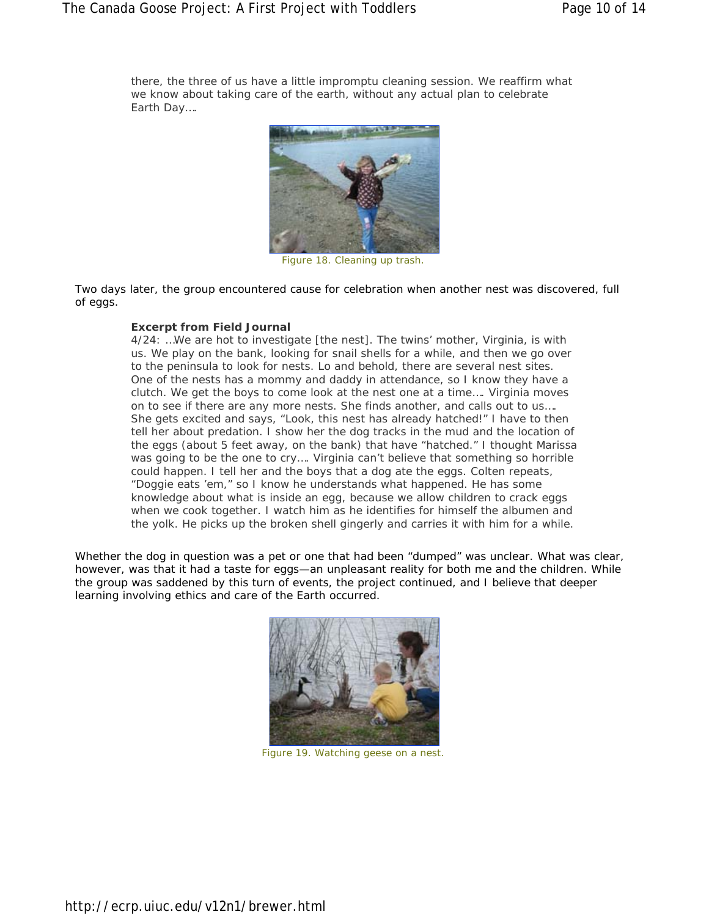there, the three of us have a little impromptu cleaning session. We reaffirm what we know about taking care of the earth, without any actual plan to celebrate Earth Day….



*Figure 18. Cleaning up trash.*

Two days later, the group encountered cause for celebration when another nest was discovered, full of eggs.

#### **Excerpt from Field Journal**

4/24: …We are hot to investigate [the nest]. The twins' mother, Virginia, is with us. We play on the bank, looking for snail shells for a while, and then we go over to the peninsula to look for nests. Lo and behold, there are several nest sites. One of the nests has a mommy and daddy in attendance, so I know they have a clutch. We get the boys to come look at the nest one at a time…. Virginia moves on to see if there are any more nests. She finds another, and calls out to us…. She gets excited and says, "Look, this nest has already hatched!" I have to then tell her about predation. I show her the dog tracks in the mud and the location of the eggs (about 5 feet away, on the bank) that have "hatched." I thought Marissa was going to be the one to cry…. Virginia can't believe that something so horrible could happen. I tell her and the boys that a dog ate the eggs. Colten repeats, "Doggie eats 'em," so I know he understands what happened. He has some knowledge about what is inside an egg, because we allow children to crack eggs when we cook together. I watch him as he identifies for himself the albumen and the yolk. He picks up the broken shell gingerly and carries it with him for a while.

Whether the dog in question was a pet or one that had been "dumped" was unclear. What was clear, however, was that it had a taste for eggs—an unpleasant reality for both me and the children. While the group was saddened by this turn of events, the project continued, and I believe that deeper learning involving ethics and care of the Earth occurred.



*Figure 19. Watching geese on a nest.*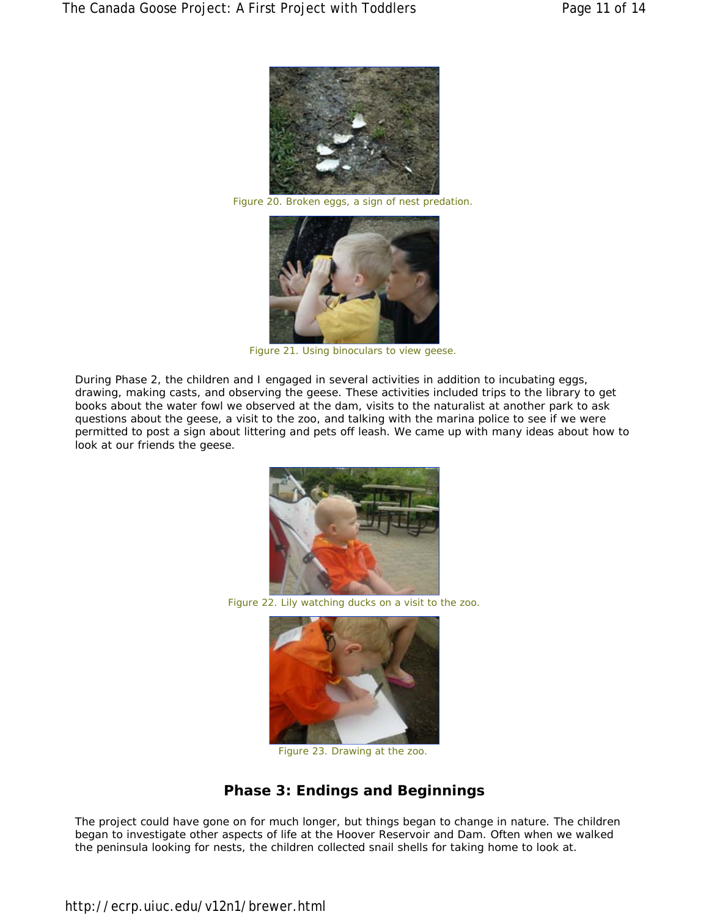

*Figure 20. Broken eggs, a sign of nest predation.* 



*Figure 21. Using binoculars to view geese.*

During Phase 2, the children and I engaged in several activities in addition to incubating eggs, drawing, making casts, and observing the geese. These activities included trips to the library to get books about the water fowl we observed at the dam, visits to the naturalist at another park to ask questions about the geese, a visit to the zoo, and talking with the marina police to see if we were permitted to post a sign about littering and pets off leash. We came up with many ideas about how to look at our friends the geese.



*Figure 22. Lily watching ducks on a visit to the zoo.*



*Figure 23. Drawing at the zoo.*

# **Phase 3: Endings and Beginnings**

The project could have gone on for much longer, but things began to change in nature. The children began to investigate other aspects of life at the Hoover Reservoir and Dam. Often when we walked the peninsula looking for nests, the children collected snail shells for taking home to look at.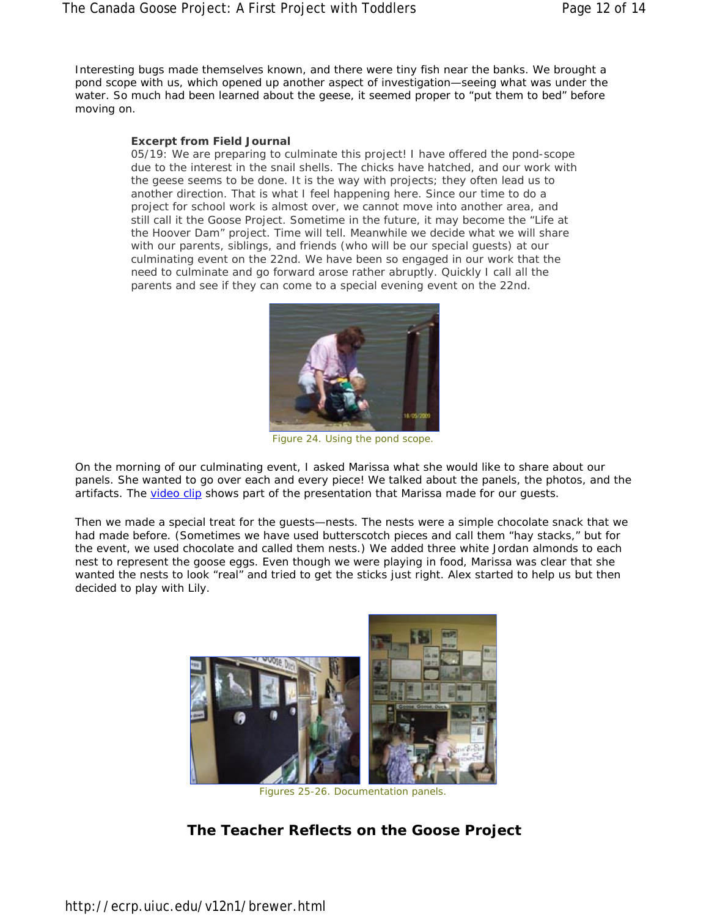Interesting bugs made themselves known, and there were tiny fish near the banks. We brought a pond scope with us, which opened up another aspect of investigation—seeing what was under the water. So much had been learned about the geese, it seemed proper to "put them to bed" before moving on.

### **Excerpt from Field Journal**

05/19: We are preparing to culminate this project! I have offered the pond-scope due to the interest in the snail shells. The chicks have hatched, and our work with the geese seems to be done. It is the way with projects; they often lead us to another direction. That is what I feel happening here. Since our time to do a project for school work is almost over, we cannot move into another area, and still call it the Goose Project. Sometime in the future, it may become the "Life at the Hoover Dam" project. Time will tell. Meanwhile we decide what we will share with our parents, siblings, and friends (who will be our special guests) at our culminating event on the 22nd. We have been so engaged in our work that the need to culminate and go forward arose rather abruptly. Quickly I call all the parents and see if they can come to a special evening event on the 22nd.



*Figure 24. Using the pond scope.*

On the morning of our culminating event, I asked Marissa what she would like to share about our panels. She wanted to go over each and every piece! We talked about the panels, the photos, and the artifacts. The video clip shows part of the presentation that Marissa made for our guests.

Then we made a special treat for the guests—nests. The nests were a simple chocolate snack that we had made before. (Sometimes we have used butterscotch pieces and call them "hay stacks," but for the event, we used chocolate and called them nests.) We added three white Jordan almonds to each nest to represent the goose eggs. Even though we were playing in food, Marissa was clear that she wanted the nests to look "real" and tried to get the sticks just right. Alex started to help us but then decided to play with Lily.



*Figures 25-26. Documentation panels.*

# **The Teacher Reflects on the Goose Project**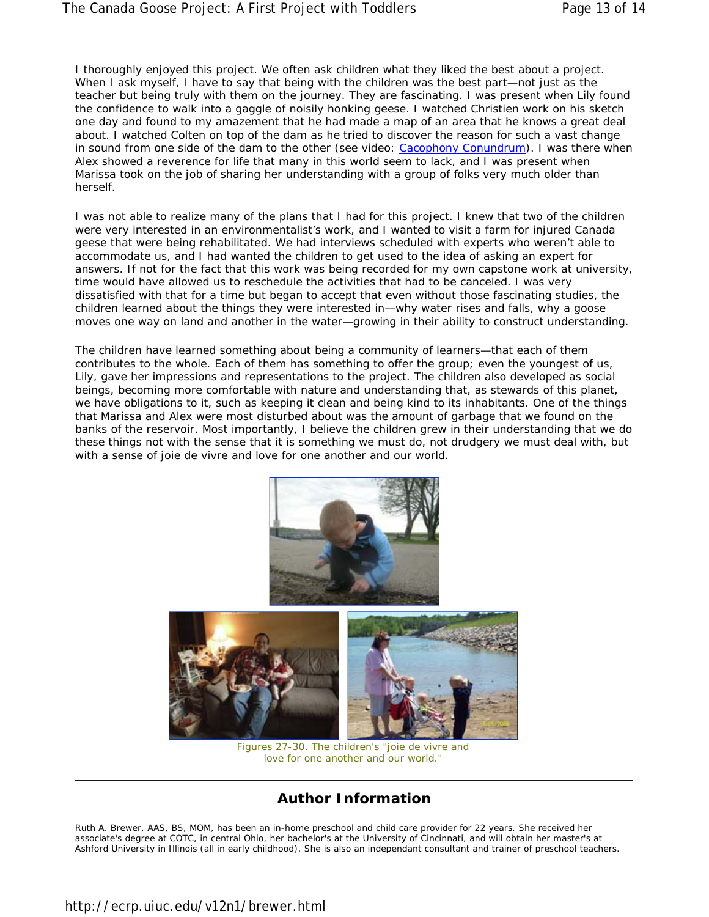I thoroughly enjoyed this project. We often ask children what they liked the best about a project. When I ask myself, I have to say that being with the children was the best part—not just as the teacher but being truly with them on the journey. They are fascinating. I was present when Lily found the confidence to walk into a gaggle of noisily honking geese. I watched Christien work on his sketch one day and found to my amazement that he had made a map of an area that he knows a great deal about. I watched Colten on top of the dam as he tried to discover the reason for such a vast change in sound from one side of the dam to the other (see video: Cacophony Conundrum). I was there when Alex showed a reverence for life that many in this world seem to lack, and I was present when Marissa took on the job of sharing her understanding with a group of folks very much older than herself.

I was not able to realize many of the plans that I had for this project. I knew that two of the children were very interested in an environmentalist's work, and I wanted to visit a farm for injured Canada geese that were being rehabilitated. We had interviews scheduled with experts who weren't able to accommodate us, and I had wanted the children to get used to the idea of asking an expert for answers. If not for the fact that this work was being recorded for my own capstone work at university, time would have allowed us to reschedule the activities that had to be canceled. I was very dissatisfied with that for a time but began to accept that even without those fascinating studies, the children learned about the things they were interested in—why water rises and falls, why a goose moves one way on land and another in the water—growing in their ability to construct understanding.

The children have learned something about being a community of learners—that each of them contributes to the whole. Each of them has something to offer the group; even the youngest of us, Lily, gave her impressions and representations to the project. The children also developed as social beings, becoming more comfortable with nature and understanding that, as stewards of this planet, we have obligations to it, such as keeping it clean and being kind to its inhabitants. One of the things that Marissa and Alex were most disturbed about was the amount of garbage that we found on the banks of the reservoir. Most importantly, I believe the children grew in their understanding that we do these things not with the sense that it is something we must do, not drudgery we must deal with, but with a sense of joie de vivre and love for one another and our world.



*Figures 27-30. The children's "joie de vivre and love for one another and our world."*

## **Author Information**

Ruth A. Brewer, AAS, BS, MOM, has been an in-home preschool and child care provider for 22 years. She received her associate's degree at COTC, in central Ohio, her bachelor's at the University of Cincinnati, and will obtain her master's at Ashford University in Illinois (all in early childhood). She is also an independant consultant and trainer of preschool teachers.